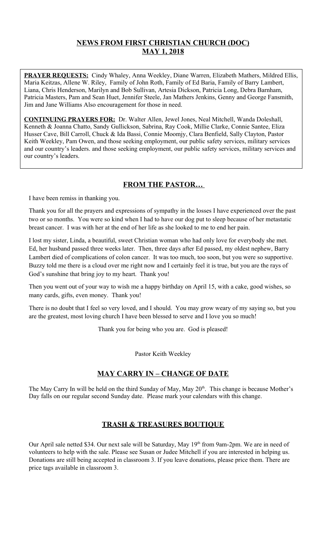# **NEWS FROM FIRST CHRISTIAN CHURCH (DOC) MAY 1, 2018**

**PRAYER REQUESTS:** Cindy Whaley, Anna Weekley, Diane Warren, Elizabeth Mathers, Mildred Ellis, Maria Keitzas, Allene W. Riley, Family of John Roth, Family of Ed Baria, Family of Barry Lambert, Liana, Chris Henderson, Marilyn and Bob Sullivan, Artesia Dickson, Patricia Long, Debra Barnham, Patricia Masters, Pam and Sean Huet, Jennifer Steele, Jan Mathers Jenkins, Genny and George Fansmith, Jim and Jane Williams Also encouragement for those in need.

**CONTINUING PRAYERS FOR:** Dr. Walter Allen, Jewel Jones, Neal Mitchell, Wanda Doleshall, Kenneth & Joanna Chatto, Sandy Gullickson, Sabrina, Ray Cook, Millie Clarke, Connie Santee, Eliza Husser Cave, Bill Carroll, Chuck & Ida Bassi, Connie Moomjy, Clara Benfield, Sally Clayton, Pastor Keith Weekley, Pam Owen, and those seeking employment, our public safety services, military services and our country's leaders. and those seeking employment, our public safety services, military services and our country's leaders.

# **FROM THE PASTOR…**

I have been remiss in thanking you.

Thank you for all the prayers and expressions of sympathy in the losses I have experienced over the past two or so months. You were so kind when I had to have our dog put to sleep because of her metastatic breast cancer. I was with her at the end of her life as she looked to me to end her pain.

I lost my sister, Linda, a beautiful, sweet Christian woman who had only love for everybody she met. Ed, her husband passed three weeks later. Then, three days after Ed passed, my oldest nephew, Barry Lambert died of complications of colon cancer. It was too much, too soon, but you were so supportive. Buzzy told me there is a cloud over me right now and I certainly feel it is true, but you are the rays of God's sunshine that bring joy to my heart. Thank you!

Then you went out of your way to wish me a happy birthday on April 15, with a cake, good wishes, so many cards, gifts, even money. Thank you!

There is no doubt that I feel so very loved, and I should. You may grow weary of my saying so, but you are the greatest, most loving church I have been blessed to serve and I love you so much!

Thank you for being who you are. God is pleased!

Pastor Keith Weekley

# **MAY CARRY IN – CHANGE OF DATE**

The May Carry In will be held on the third Sunday of May, May 20<sup>th</sup>. This change is because Mother's Day falls on our regular second Sunday date. Please mark your calendars with this change.

## **TRASH & TREASURES BOUTIQUE**

Our April sale netted \$34. Our next sale will be Saturday, May 19<sup>th</sup> from 9am-2pm. We are in need of volunteers to help with the sale. Please see Susan or Judee Mitchell if you are interested in helping us. Donations are still being accepted in classroom 3. If you leave donations, please price them. There are price tags available in classroom 3.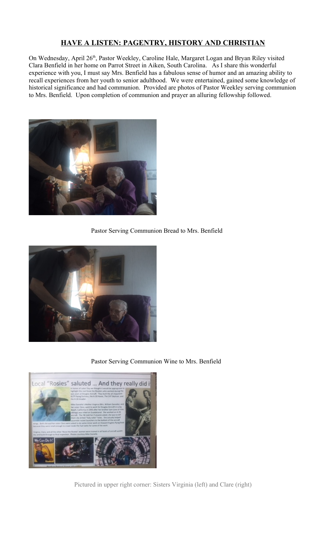# **HAVE A LISTEN: PAGENTRY, HISTORY AND CHRISTIAN**

On Wednesday, April 26<sup>th</sup>, Pastor Weekley, Caroline Hale, Margaret Logan and Bryan Riley visited Clara Benfield in her home on Parrot Street in Aiken, South Carolina. As I share this wonderful experience with you, I must say Mrs. Benfield has a fabulous sense of humor and an amazing ability to recall experiences from her youth to senior adulthood. We were entertained, gained some knowledge of historical significance and had communion. Provided are photos of Pastor Weekley serving communion to Mrs. Benfield. Upon completion of communion and prayer an alluring fellowship followed.



Pastor Serving Communion Bread to Mrs. Benfield



Pastor Serving Communion Wine to Mrs. Benfield



Pictured in upper right corner: Sisters Virginia (left) and Clare (right)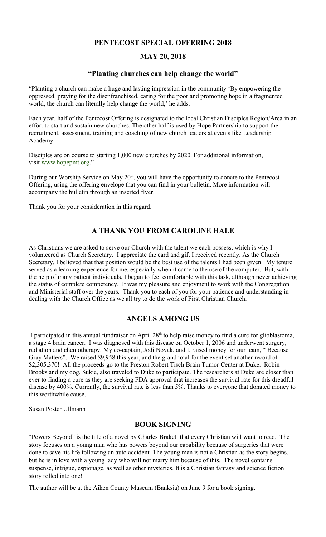### **PENTECOST SPECIAL OFFERING 2018**

### **MAY 20, 2018**

#### **"Planting churches can help change the world"**

"Planting a church can make a huge and lasting impression in the community 'By empowering the oppressed, praying for the disenfranchised, caring for the poor and promoting hope in a fragmented world, the church can literally help change the world,' he adds.

Each year, half of the Pentecost Offering is designated to the local Christian Disciples Region/Area in an effort to start and sustain new churches. The other half is used by Hope Partnership to support the recruitment, assessment, training and coaching of new church leaders at events like Leadership Academy.

Disciples are on course to starting 1,000 new churches by 2020. For additional information, visit [www.hopepmt.org.](http://www.hopepmt.org/)"

During our Worship Service on May 20<sup>th</sup>, you will have the opportunity to donate to the Pentecost Offering, using the offering envelope that you can find in your bulletin. More information will accompany the bulletin through an inserted flyer.

Thank you for your consideration in this regard.

# **A THANK YOU FROM CAROLINE HALE**

As Christians we are asked to serve our Church with the talent we each possess, which is why I volunteered as Church Secretary. I appreciate the card and gift I received recently. As the Church Secretary, I believed that that position would be the best use of the talents I had been given. My tenure served as a learning experience for me, especially when it came to the use of the computer. But, with the help of many patient individuals, I began to feel comfortable with this task, although never achieving the status of complete competency. It was my pleasure and enjoyment to work with the Congregation and Ministerial staff over the years. Thank you to each of you for your patience and understanding in dealing with the Church Office as we all try to do the work of First Christian Church.

#### **ANGELS AMONG US**

I participated in this annual fundraiser on April  $28<sup>th</sup>$  to help raise money to find a cure for glioblastoma, a stage 4 brain cancer. I was diagnosed with this disease on October 1, 2006 and underwent surgery, radiation and chemotherapy. My co-captain, Jodi Novak, and I, raised money for our team, " Because Gray Matters". We raised \$9,958 this year, and the grand total for the event set another record of \$2,305,370! All the proceeds go to the Preston Robert Tisch Brain Tumor Center at Duke. Robin Brooks and my dog, Sukie, also traveled to Duke to participate. The researchers at Duke are closer than ever to finding a cure as they are seeking FDA approval that increases the survival rate for this dreadful disease by 400%. Currently, the survival rate is less than 5%. Thanks to everyone that donated money to this worthwhile cause.

Susan Poster Ullmann

#### **BOOK SIGNING**

"Powers Beyond" is the title of a novel by Charles Brakett that every Christian will want to read. The story focuses on a young man who has powers beyond our capability because of surgeries that were done to save his life following an auto accident. The young man is not a Christian as the story begins, but he is in love with a young lady who will not marry him because of this. The novel contains suspense, intrigue, espionage, as well as other mysteries. It is a Christian fantasy and science fiction story rolled into one!

The author will be at the Aiken County Museum (Banksia) on June 9 for a book signing.